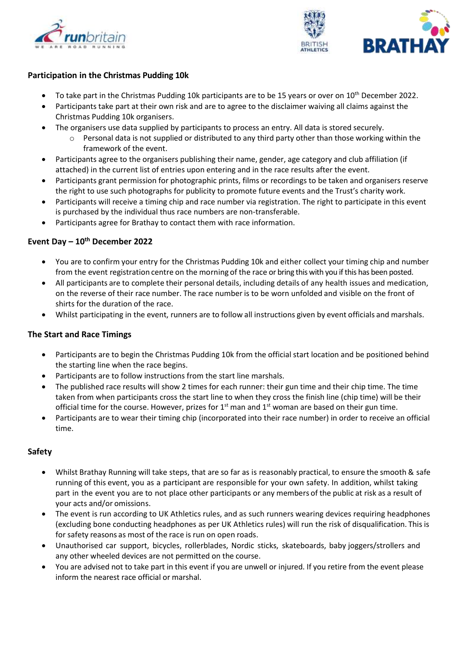



### **Participation in the Christmas Pudding 10k**

- To take part in the Christmas Pudding 10k participants are to be 15 years or over on 10<sup>th</sup> December 2022.
- Participants take part at their own risk and are to agree to the disclaimer waiving all claims against the Christmas Pudding 10k organisers.
- The organisers use data supplied by participants to process an entry. All data is stored securely.
	- $\circ$  Personal data is not supplied or distributed to any third party other than those working within the framework of the event.
- Participants agree to the organisers publishing their name, gender, age category and club affiliation (if attached) in the current list of entries upon entering and in the race results after the event.
- Participants grant permission for photographic prints, films or recordings to be taken and organisers reserve the right to use such photographs for publicity to promote future events and the Trust's charity work.
- Participants will receive a timing chip and race number via registration. The right to participate in this event is purchased by the individual thus race numbers are non-transferable.
- Participants agree for Brathay to contact them with race information.

#### **Event Day – 10th December 2022**

- You are to confirm your entry for the Christmas Pudding 10k and either collect your timing chip and number from the event registration centre on the morning of the race or bring this with you if this has been posted.
- All participants are to complete their personal details, including details of any health issues and medication, on the reverse of their race number. The race number is to be worn unfolded and visible on the front of shirts for the duration of the race.
- Whilst participating in the event, runners are to follow all instructions given by event officials and marshals.

## **The Start and Race Timings**

- Participants are to begin the Christmas Pudding 10k from the official start location and be positioned behind the starting line when the race begins.
- Participants are to follow instructions from the start line marshals.
- The published race results will show 2 times for each runner: their gun time and their chip time. The time taken from when participants cross the start line to when they cross the finish line (chip time) will be their official time for the course. However, prizes for  $1<sup>st</sup>$  man and  $1<sup>st</sup>$  woman are based on their gun time.
- Participants are to wear their timing chip (incorporated into their race number) in order to receive an official time.

#### **Safety**

- Whilst Brathay Running will take steps, that are so far as is reasonably practical, to ensure the smooth & safe running of this event, you as a participant are responsible for your own safety. In addition, whilst taking part in the event you are to not place other participants or any members of the public at risk as a result of your acts and/or omissions.
- The event is run according to UK Athletics rules, and as such runners wearing devices requiring headphones (excluding bone conducting headphones as per UK Athletics rules) will run the risk of disqualification. This is for safety reasons as most of the race is run on open roads.
- Unauthorised car support, bicycles, rollerblades, Nordic sticks, skateboards, baby joggers/strollers and any other wheeled devices are not permitted on the course.
- You are advised not to take part in this event if you are unwell or injured. If you retire from the event please inform the nearest race official or marshal.